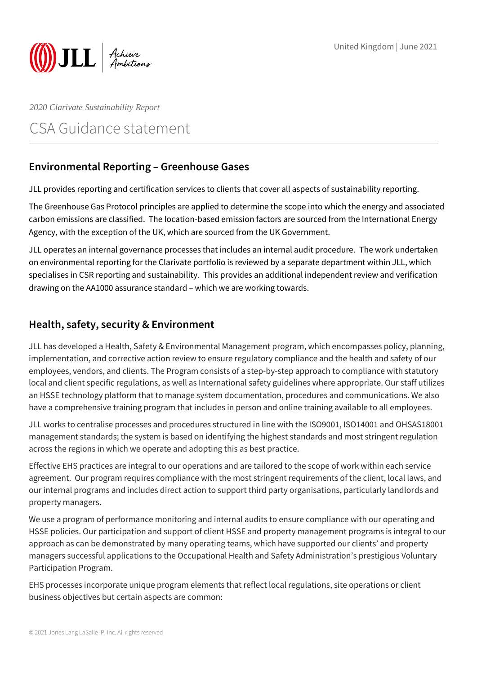

*2020 Clarivate Sustainability Report*

# CSA Guidance statement

## **Environmental Reporting – Greenhouse Gases**

JLL provides reporting and certification services to clients that cover all aspects of sustainability reporting.

The Greenhouse Gas Protocol principles are applied to determine the scope into which the energy and associated carbon emissions are classified. The location-based emission factors are sourced from the International Energy Agency, with the exception of the UK, which are sourced from the UK Government.

JLL operates an internal governance processes that includes an internal audit procedure. The work undertaken on environmental reporting for the Clarivate portfolio is reviewed by a separate department within JLL, which specialises in CSR reporting and sustainability. This provides an additional independent review and verification drawing on the AA1000 assurance standard – which we are working towards.

### **Health, safety, security & Environment**

JLL has developed a Health, Safety & Environmental Management program, which encompasses policy, planning, implementation, and corrective action review to ensure regulatory compliance and the health and safety of our employees, vendors, and clients. The Program consists of a step-by-step approach to compliance with statutory local and client specific regulations, as well as International safety guidelines where appropriate. Our staff utilizes an HSSE technology platform that to manage system documentation, procedures and communications. We also have a comprehensive training program that includes in person and online training available to all employees.

JLL works to centralise processes and procedures structured in line with the ISO9001, ISO14001 and OHSAS18001 management standards; the system is based on identifying the highest standards and most stringent regulation across the regions in which we operate and adopting this as best practice.

Effective EHS practices are integral to our operations and are tailored to the scope of work within each service agreement. Our program requires compliance with the most stringent requirements of the client, local laws, and our internal programs and includes direct action to support third party organisations, particularly landlords and property managers.

We use a program of performance monitoring and internal audits to ensure compliance with our operating and HSSE policies. Our participation and support of client HSSE and property management programs is integral to our approach as can be demonstrated by many operating teams, which have supported our clients' and property managers successful applications to the Occupational Health and Safety Administration's prestigious Voluntary Participation Program.

EHS processes incorporate unique program elements that reflect local regulations, site operations or client business objectives but certain aspects are common: